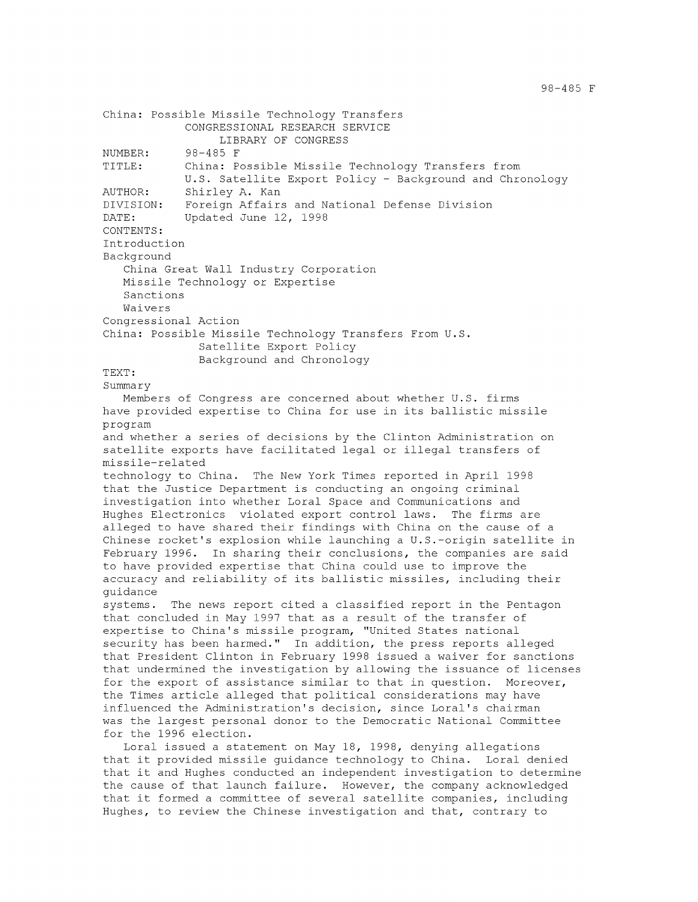```
China: Possible Missile Technology Transfers
            CONGRESSIONAL RESEARCH SERVICE
                 LIBRARY OF CONGRESS
NUMBER: 98-485 F
TITLE: China: Possible Missile Technology Transfers from
            U.S. Satellite Export Policy - Background and Chronology
AUTHOR: Shirley A. Kan
DIVISION: Foreign Affairs and National Defense Division
DATE: Updated June 12, 1998
CONTENTS:
Introduction
Background
   China Great Wall Industry Corporation
   Missile Technology or Expertise
   Sanctions
   Waivers
Congressional Action
China: Possible Missile Technology Transfers From U.S.
              Satellite Export Policy
              Background and Chronology
TEXT:
Summary
  Members of Congress are concerned about whether U.S. firms
have provided expertise to China for use in its ballistic missile
program
and whether a series of decisions by the Clinton Administration on
satellite exports have facilitated legal or illegal transfers of
missile-related
technology to China. The New York Times reported in April 1998
that the Justice Department is conducting an ongoing criminal
investigation into whether Loral Space and Communications and
Hughes Electronics violated export control laws. The firms are
alleged to have shared their findings with China on the cause of a
Chinese rocket's explosion while launching a U.S.-origin satellite in
February 1996. In sharing their conclusions, the companies are said
to have provided expertise that China could use to improve the
accuracy and reliability of its ballistic missiles, including their
guidance
systems. The news report cited a classified report in the Pentagon
that concluded in May 1997 that as a result of the transfer of
expertise to China's missile program, "United States national
security has been harmed." In addition, the press reports alleged
that President Clinton in February 1998 issued a waiver for sanctions
that undermined the investigation by allowing the issuance of licenses
for the export of assistance similar to that in question. Moreover,
the Times article alleged that political considerations may have
influenced the Administration's decision, since Loral's chairman
was the largest personal donor to the Democratic National Committee
for the 1996 election.
   Loral issued a statement on May 18, 1998, denying allegations
```
that it provided missile guidance technology to China. Loral denied that it and Hughes conducted an independent investigation to determine the cause of that launch failure. However, the company acknowledged that it formed a committee of several satellite companies, including Hughes, to review the Chinese investigation and that, contrary to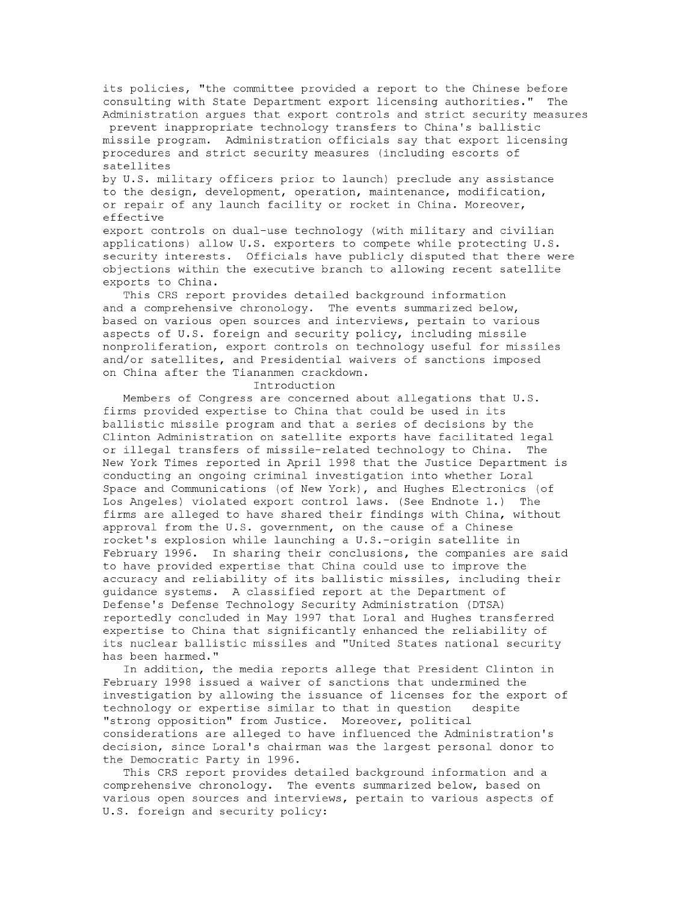its policies, "the committee provided a report to the Chinese before consulting with State Department export licensing authorities." The Administration argues that export controls and strict security measures prevent inappropriate technology transfers to China's ballistic missile program. Administration officials say that export licensing procedures and strict security measures (including escorts of satellites

by U.S. military officers prior to launch) preclude any assistance to the design, development, operation, maintenance, modification, or repair of any launch facility or rocket in China. Moreover, effective

export controls on dual-use technology (with military and civilian applications) allow U.S. exporters to compete while protecting U.S. security interests. Officials have publicly disputed that there were objections within the executive branch to allowing recent satellite exports to China.

This CRS report provides detailed background information and a comprehensive chronology. The events summarized below, based on various open sources and interviews, pertain to various aspects of U.S. foreign and security policy, including missile nonproliferation, export controls on technology useful for missiles and/or satellites, and Presidential waivers of sanctions imposed on China after the Tiananmen crackdown.

## Introduction

Members of Congress are concerned about allegations that U.S. firms provided expertise to China that could be used in its ballistic missile program and that a series of decisions by the Clinton Administration on satellite exports have facilitated legal or illegal transfers of missile-related technology to China. The New York Times reported in April 1998 that the Justice Department is conducting an ongoing criminal investigation into whether Loral Space and Communications (of New York), and Hughes Electronics (of Los Angeles) violated export control laws. (See Endnote **1.)** The firms are alleged to have shared their findings with China, without approval from the U.S. government, on the cause of a Chinese rocket's explosion while launching a U.S.-origin satellite in February 1996. In sharing their conclusions, the companies are said to have provided expertise that China could use to improve the accuracy and reliability of its ballistic missiles, including their guidance systems. A classified report at the Department of Defense's Defense Technology Security Administration (DTSA) reportedly concluded in May 1997 that Loral and Hughes transferred expertise to China that significantly enhanced the reliability of its nuclear ballistic missiles and "United States national security has been harmed."

In addition, the media reports allege that President Clinton in February 1998 issued a waiver of sanctions that undermined the investigation by allowing the issuance of licenses for the export of technology or expertise similar to that in question despite "strong opposition" from Justice. Moreover, political considerations are alleged to have influenced the Administration's decision, since Loral's chairman was the largest personal donor to the Democratic Party in 1996.

This CRS report provides detailed background information and a comprehensive chronology. The events summarized below, based on various open sources and interviews, pertain to various aspects of U.S. foreign and security policy: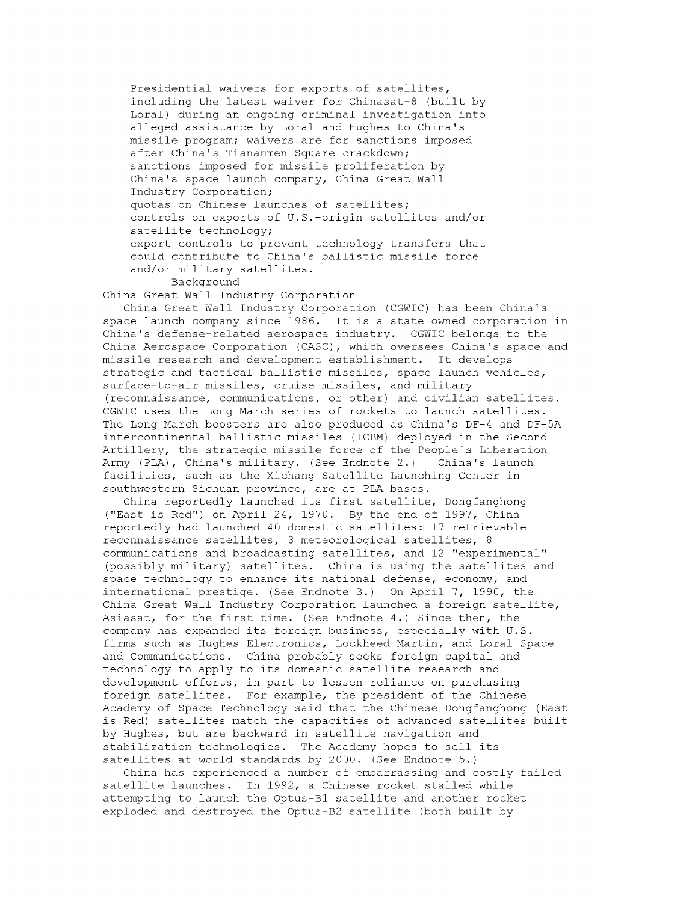Presidential waivers for exports of satellites, including the latest waiver for Chinasat-8 (built by Loral) during an ongoing criminal investigation into alleged assistance by Loral and Hughes to China's missile program; waivers are for sanctions imposed after China's Tiananmen Square crackdown; sanctions imposed for missile proliferation by China's space launch company, China Great Wall Industry Corporation; quotas on Chinese launches of satellites; controls on exports of U.S.-origin satellites and/or satellite technology; export controls to prevent technology transfers that could contribute to China's ballistic missile force and/or military satellites.

Background

China Great Wall Industry Corporation

China Great Wall Industry Corporation (CGWIC) has been China's space launch company since 1986. It is a state-owned corporation in China's defense-related aerospace industry. CGWIC belongs to the China Aerospace Corporation (CASC), which oversees China's space and missile research and development establishment. It develops strategic and tactical ballistic missiles, space launch vehicles, surface-to-air missiles, cruise missiles, and military (reconnaissance, communications, or other) and civilian satellites. CGWIC uses the Long March series of rockets to launch satellites. The Long March boosters are also produced as China's DF-4 and DF-5A intercontinental ballistic missiles (ICBM) deployed in the Second Artillery, the strategic missile force of the People's Liberation Army (PLA), China's military. (See Endnote 2.) China's launch facilities, such as the Xichang Satellite Launching Center in southwestern Sichuan province, are at PLA bases.

China reportedly launched its first satellite, Dongfanghong ("East is Red") on April 24, 1970. By the end of 1997, China reportedly had launched 40 domestic satellites: 17 retrievable reconnaissance satellites, 3 meteorological satellites, 8 communications and broadcasting satellites, and 12 "experimental" (possibly military) satellites. China is using the satellites and space technology to enhance its national defense, economy, and international prestige. (See Endnote 3.) On April 7, 1990, the China Great Wall Industry Corporation launched a foreign satellite, Asiasat, for the first time. (See Endnote 4.) Since then, the company has expanded its foreign business, especially with U.S. firms such as Hughes Electronics, Lockheed Martin, and Loral Space and Communications. China probably seeks foreign capital and technology to apply to its domestic satellite research and development efforts, in part to lessen reliance on purchasing foreign satellites. For example, the president of the Chinese Academy of Space Technology said that the Chinese Dongfanghong (East is Red) satellites match the capacities of advanced satellites built by Hughes, but are backward in satellite navigation and stabilization technologies. The Academy hopes to sell its satellites at world standards by 2000. (See Endnote 5.)

China has experienced a number of embarrassing and costly failed satellite launches. In 1992, a Chinese rocket stalled while attempting to launch the Optus-Bl satellite and another rocket exploded and destroyed the Optus-B2 satellite (both built by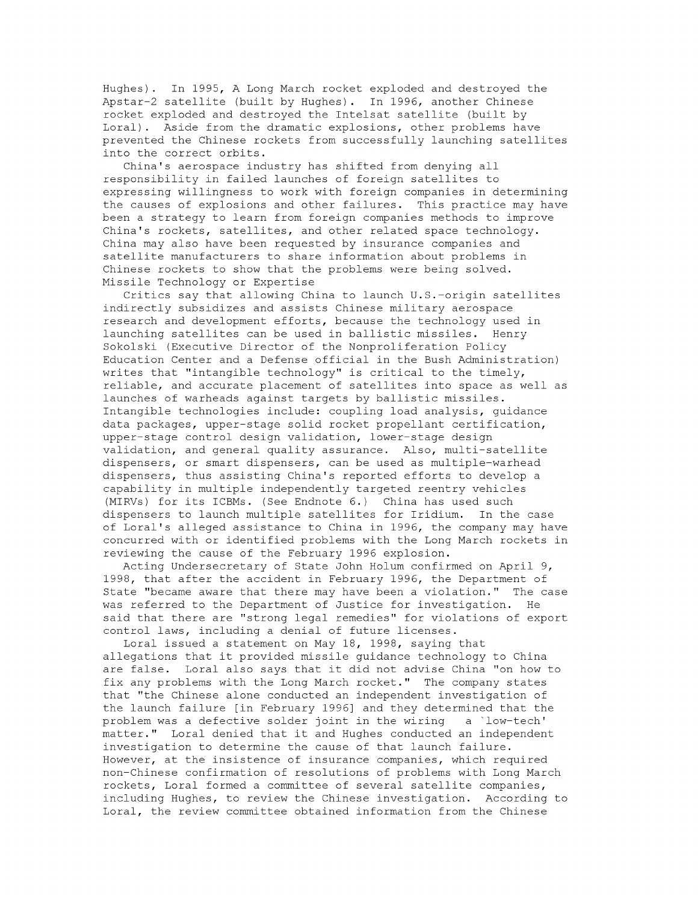Hughes). In 1995, A Long March rocket exploded and destroyed the Apstar-2 satellite (built by Hughes). In 1996, another Chinese rocket exploded and destroyed the Intelsat satellite (built by Loral). Aside from the dramatic explosions, other problems have prevented the Chinese rockets from successfully launching satellites into the correct orbits.

China's aerospace industry has shifted from denying all responsibility in failed launches of foreign satellites to expressing willingness to work with foreign companies in determining the causes of explosions and other failures. This practice may have been a strategy to learn from foreign companies methods to improve China's rockets, satellites, and other related space technology. China may also have been requested by insurance companies and satellite manufacturers to share information about problems in Chinese rockets to show that the problems were being solved. Missile Technology or Expertise

Critics say that allowing China to launch U.S.-origin satellites indirectly subsidizes and assists Chinese military aerospace research and development efforts, because the technology used in launching satellites can be used in ballistic missiles. Henry Sokolski (Executive Director of the Nonproliferation Policy Education Center and a Defense official in the Bush Administration) writes that "intangible technology" is critical to the timely, reliable, and accurate placement of satellites into space as well as launches of warheads against targets by ballistic missiles. Intangible technologies include: coupling load analysis, guidance data packages, upper-stage solid rocket propellant certification, upper-stage control design validation, lower-stage design validation, and general quality assurance. Also, multi-satellite dispensers, or smart dispensers, can be used as multiple-warhead dispensers, thus assisting China's reported efforts to develop a capability in multiple independently targeted reentry vehicles (MIRVs) for its ICBMs. (See Endnote 6.) China has used such dispensers to launch multiple satellites for Iridium. In the case of Loral's alleged assistance to China in 1996, the company may have concurred with or identified problems with the Long March rockets in reviewing the cause of the February 1996 explosion.

Acting Undersecretary of State John Holum confirmed on April 9, 1998, that after the accident in February 1996, the Department of State "became aware that there may have been a violation." The case was referred to the Department of Justice for investigation. He said that there are "strong legal remedies" for violations of export control laws, including a denial of future licenses.

Loral issued a statement on May 18, 1998, saying that allegations that it provided missile guidance technology to China are false. Loral also says that it did not advise China "on how to fix any problems with the Long March rocket." The company states that "the Chinese alone conducted an independent investigation of the launch failure [in February 1996] and they determined that the problem was a defective solder joint in the wiring a 'low-tech' matter." Loral denied that it and Hughes conducted an independent investigation to determine the cause of that launch failure. However, at the insistence of insurance companies, which required non-Chinese confirmation of resolutions of problems with Long March rockets, Loral formed a committee of several satellite companies, including Hughes, to review the Chinese investigation. According to Loral, the review committee obtained information from the Chinese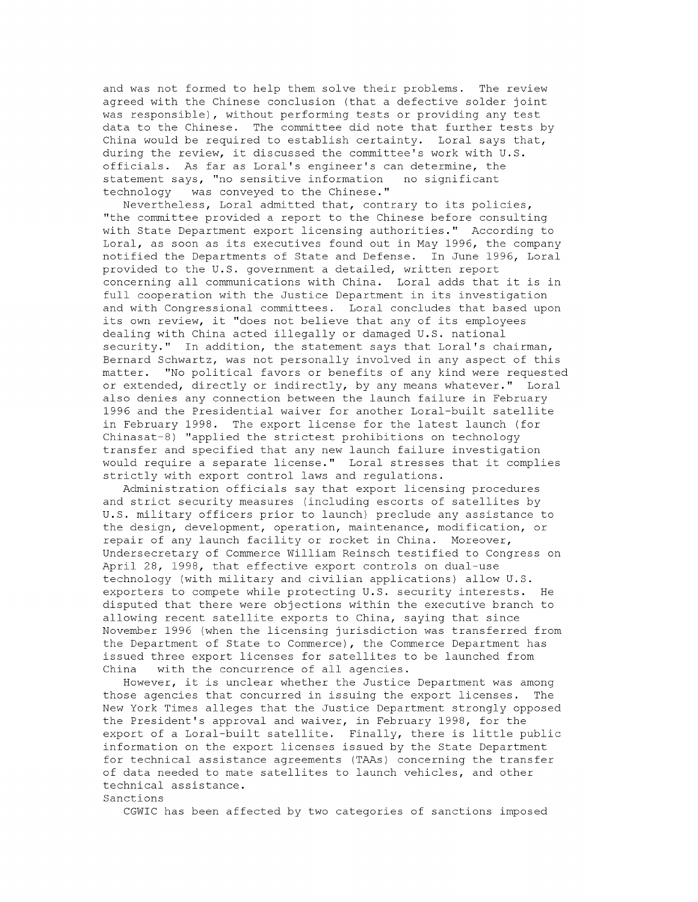and was not formed to help them solve their problems. The review agreed with the Chinese conclusion (that a defective solder joint was responsible), without performing tests or providing any test data to the Chinese. The committee did note that further tests by China would be required to establish certainty. Loral says that, during the review, it discussed the committee's work with U.S. officials. As far as Loral's engineer's can determine, the statement says, "no sensitive information no significant technology was conveyed to the Chinese."

Nevertheless, Loral admitted that, contrary to its policies, "the committee provided a report to the Chinese before consulting with State Department export licensing authorities." According to Loral, as soon as its executives found out in May 1996, the company notified the Departments of State and Defense. In June 1996, Loral provided to the U.S. government a detailed, written report concerning all communications with China. Loral adds that it is in full cooperation with the Justice Department in its investigation and with Congressional committees. Loral concludes that based upon its own review, it "does not believe that any of its employees dealing with China acted illegally or damaged U.S. national security." In addition, the statement says that Loral's chairman, Bernard Schwartz, was not personally involved in any aspect of this matter. "No political favors or benefits of any kind were requested or extended, directly or indirectly, by any means whatever." Loral also denies any connection between the launch failure in February 1996 and the Presidential waiver for another Loral-built satellite in February 1998. The export license for the latest launch (for Chinasat-8) "applied the strictest prohibitions on technology transfer and specified that any new launch failure investigation would require a separate license." Loral stresses that it complies strictly with export control laws and regulations.

Administration officials say that export licensing procedures and strict security measures (including escorts of satellites by U.S. military officers prior to launch) preclude any assistance to the design, development, operation, maintenance, modification, or repair of any launch facility or rocket in China. Moreover, Undersecretary of Commerce William Reinsch testified to Congress on April 28, 1998, that effective export controls on dual-use technology (with military and civilian applications) allow U.S. exporters to compete while protecting U.S. security interests. He disputed that there were objections within the executive branch to allowing recent satellite exports to China, saying that since November 1996 (when the licensing jurisdiction was transferred from the Department of State to Commerce), the Commerce Department has issued three export licenses for satellites to be launched from China with the concurrence of all agencies.

However, it is unclear whether the Justice Department was among those agencies that concurred in issuing the export licenses. The New York Times alleges that the Justice Department strongly opposed the President's approval and waiver, in February 1998, for the export of a Loral-built satellite. Finally, there is little public information on the export licenses issued by the State Department for technical assistance agreements (TAAs) concerning the transfer of data needed to mate satellites to launch vehicles, and other technical assistance.

## Sanctions

CGWIC has been affected by two categories of sanctions imposed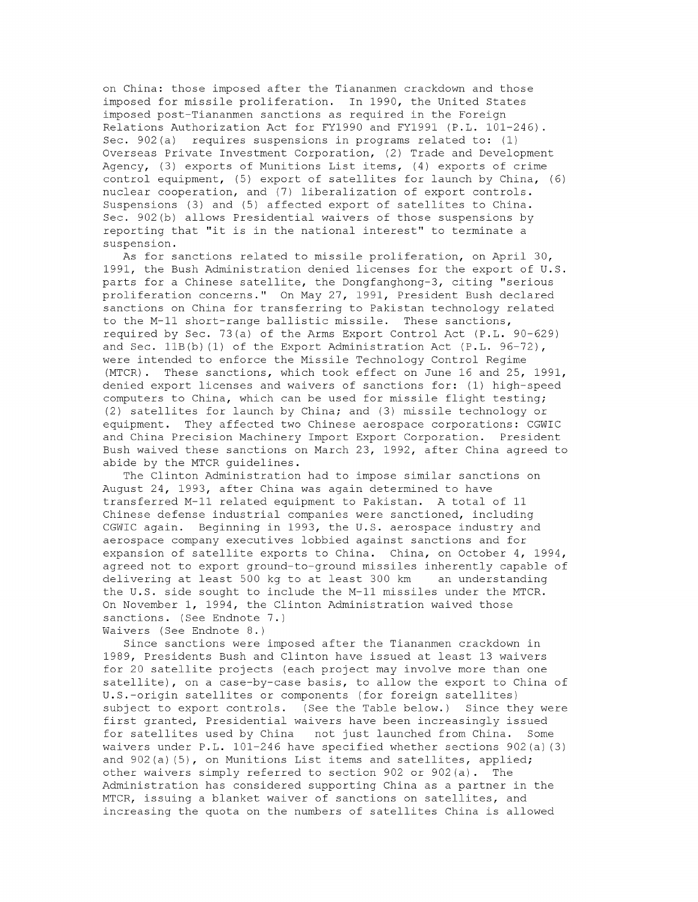on China: those imposed after the Tiananmen crackdown and those imposed for missile proliferation. In 1990, the United States imposed post-Tiananmen sanctions as required in the Foreign Relations Authorization Act for FY1990 and FY1991 (P.L. 101-246). Sec. 902(a) requires suspensions in programs related to: **(1)** Overseas Private Investment Corporation, (2) Trade and Development Agency, (3) exports of Munitions List items, (4) exports of crime control equipment, (5) export of satellites for launch by China, (6) nuclear cooperation, and (7) liberalization of export controls. Suspensions (3) and (5) affected export of satellites to China. Sec. 902(b) allows Presidential waivers of those suspensions by reporting that "it is in the national interest" to terminate a suspension.

As for sanctions related to missile proliferation, on April 30, 1991, the Bush Administration denied licenses for the export of U.S. parts for a Chinese satellite, the Dongfanghong-3, citing "serious proliferation concerns." On May 27, 1991, President Bush declared sanctions on China for transferring to Pakistan technology related to the M-11 short-range ballistic missile. These sanctions, required by Sec. 73(a) of the Arms Export Control Act (P.L. 90-629) and Sec. 11B(b) **(1)** of the Export Administration Act (P.L. 96-72), were intended to enforce the Missile Technology Control Regime (MTCR). These sanctions, which took effect on June 16 and 25, 1991, denied export licenses and waivers of sanctions for: **(1)** high-speed computers to China, which can be used for missile flight testing; (2) satellites for launch by China; and (3) missile technology or equipment. They affected two Chinese aerospace corporations: CGWIC and China Precision Machinery Import Export Corporation. President Bush waived these sanctions on March 23, 1992, after China agreed to abide by the MTCR guidelines.

The Clinton Administration had to impose similar sanctions on August 24, 1993, after China was again determined to have transferred M-11 related equipment to Pakistan. A total of **11** Chinese defense industrial companies were sanctioned, including CGWIC again. Beginning in 1993, the U.S. aerospace industry and aerospace company executives lobbied against sanctions and for expansion of satellite exports to China. China, on October 4, 1994, agreed not to export ground-to-ground missiles inherently capable of delivering at least 500 kg to at least 300 km an understanding the U.S. side sought to include the M-11 missiles under the MTCR. On November **1,** 1994, the Clinton Administration waived those sanctions. (See Endnote 7.)

Waivers (See Endnote 8.)

Since sanctions were imposed after the Tiananmen crackdown in 1989, Presidents Bush and Clinton have issued at least 13 waivers for 20 satellite projects (each project may involve more than one satellite), on a case-by-case basis, to allow the export to China of U.S.-origin satellites or components (for foreign satellites) subject to export controls. (See the Table below.) Since they were first granted, Presidential waivers have been increasingly issued for satellites used by China not just launched from China. Some waivers under P.L. 101-246 have specified whether sections 902(a) (3) and  $902(a)$  (5), on Munitions List items and satellites, applied; other waivers simply referred to section 902 or 902(a) . The Administration has considered supporting China as a partner in the MTCR, issuing a blanket waiver of sanctions on satellites, and increasing the quota on the numbers of satellites China is allowed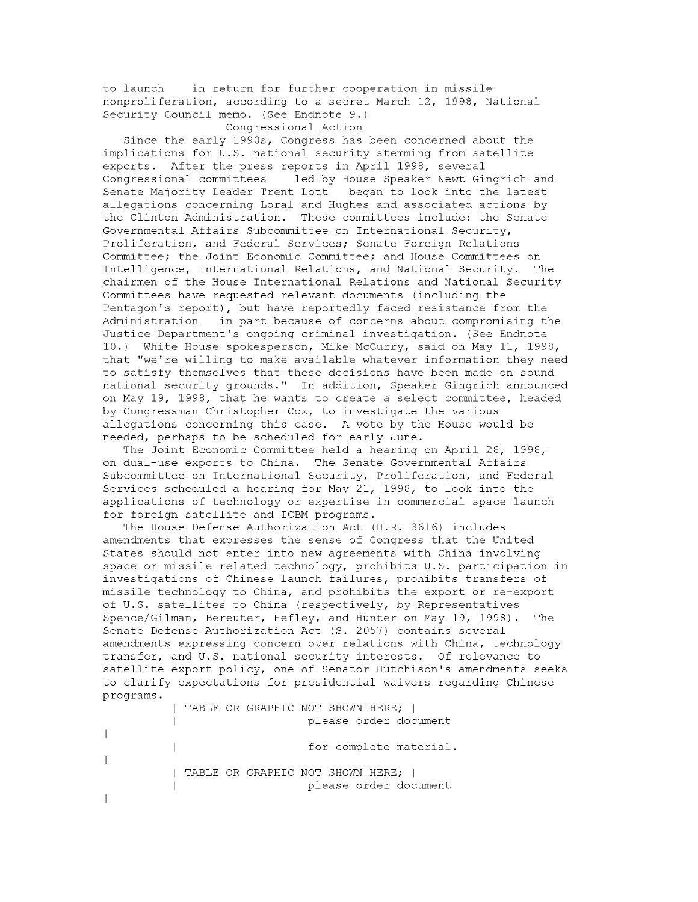to launch in return for further cooperation in missile nonproliferation, according to a secret March 12, 1998, National Security Council memo. (See Endnote 9.)

Congressional Action

Since the early 1990s, Congress has been concerned about the implications for U.S. national security stemming from satellite exports. After the press reports in April 1998, several Congressional committees led by House Speaker Newt Gingrich and Senate Majority Leader Trent Lott began to look into the latest allegations concerning Loral and Hughes and associated actions by the Clinton Administration. These committees include: the Senate Governmental Affairs Subcommittee on International Security, Proliferation, and Federal Services; Senate Foreign Relations Committee; the Joint Economic Committee; and House Committees on Intelligence, International Relations, and National Security. The chairmen of the House International Relations and National Security Committees have requested relevant documents (including the Pentagon's report), but have reportedly faced resistance from the Administration in part because of concerns about compromising the Justice Department's ongoing criminal investigation. (See Endnote 10.) White House spokesperson, Mike McCurry, said on May **11,** 1998, that "we're willing to make available whatever information they need to satisfy themselves that these decisions have been made on sound national security grounds." In addition, Speaker Gingrich announced on May 19, 1998, that he wants to create a select committee, headed by Congressman Christopher Cox, to investigate the various allegations concerning this case. A vote by the House would be needed, perhaps to be scheduled for early June.

The Joint Economic Committee held a hearing on April 28, 1998, on dual-use exports to China. The Senate Governmental Affairs Subcommittee on International Security, Proliferation, and Federal Services scheduled a hearing for May 21, 1998, to look into the applications of technology or expertise in commercial space launch for foreign satellite and ICBM programs.

The House Defense Authorization Act (H.R. 3616) includes amendments that expresses the sense of Congress that the United States should not enter into new agreements with China involving space or missile-related technology, prohibits U.S. participation in investigations of Chinese launch failures, prohibits transfers of missile technology to China, and prohibits the export or re-export of U.S. satellites to China (respectively, by Representatives Spence/Gilman, Bereuter, Hefley, and Hunter on May 19, 1998). The Senate Defense Authorization Act **(S.** 2057) contains several amendments expressing concern over relations with China, technology transfer, and U.S. national security interests. Of relevance to satellite export policy, one of Senator Hutchison's amendments seeks to clarify expectations for presidential waivers regarding Chinese programs.

TABLE OR GRAPHIC NOT SHOWN HERE; I please order document  $\mathbf{I}$  $\overline{1}$ for complete material.  $\perp$  $\overline{\phantom{a}}$ | TABLE OR GRAPHIC NOT SHOWN HERE; | please order document $\overline{\phantom{a}}$